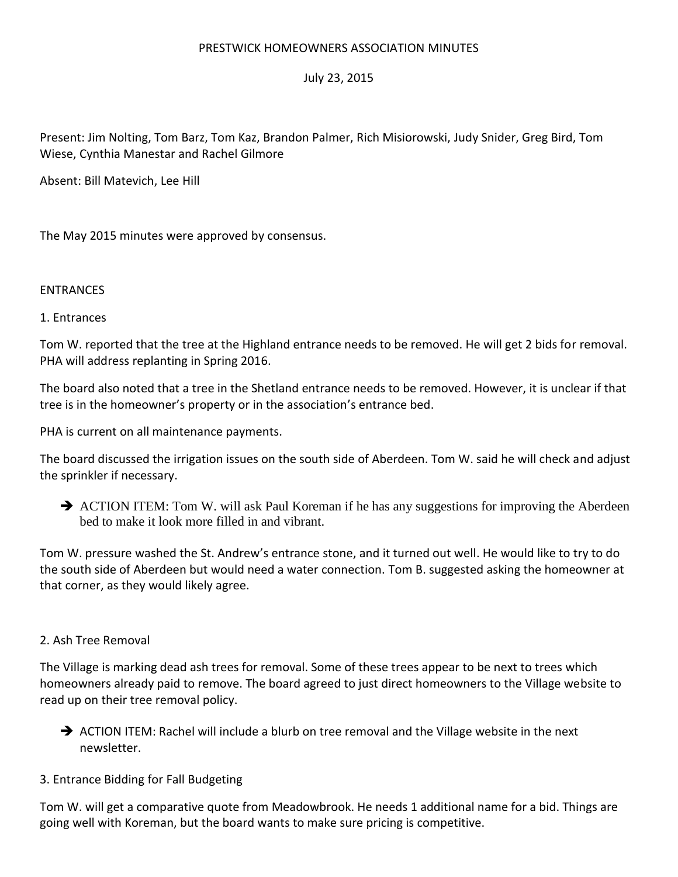# PRESTWICK HOMEOWNERS ASSOCIATION MINUTES

# July 23, 2015

Present: Jim Nolting, Tom Barz, Tom Kaz, Brandon Palmer, Rich Misiorowski, Judy Snider, Greg Bird, Tom Wiese, Cynthia Manestar and Rachel Gilmore

Absent: Bill Matevich, Lee Hill

The May 2015 minutes were approved by consensus.

### ENTRANCES

### 1. Entrances

Tom W. reported that the tree at the Highland entrance needs to be removed. He will get 2 bids for removal. PHA will address replanting in Spring 2016.

The board also noted that a tree in the Shetland entrance needs to be removed. However, it is unclear if that tree is in the homeowner's property or in the association's entrance bed.

PHA is current on all maintenance payments.

The board discussed the irrigation issues on the south side of Aberdeen. Tom W. said he will check and adjust the sprinkler if necessary.

ACTION ITEM: Tom W. will ask Paul Koreman if he has any suggestions for improving the Aberdeen bed to make it look more filled in and vibrant.

Tom W. pressure washed the St. Andrew's entrance stone, and it turned out well. He would like to try to do the south side of Aberdeen but would need a water connection. Tom B. suggested asking the homeowner at that corner, as they would likely agree.

### 2. Ash Tree Removal

The Village is marking dead ash trees for removal. Some of these trees appear to be next to trees which homeowners already paid to remove. The board agreed to just direct homeowners to the Village website to read up on their tree removal policy.

 $\rightarrow$  ACTION ITEM: Rachel will include a blurb on tree removal and the Village website in the next newsletter.

### 3. Entrance Bidding for Fall Budgeting

Tom W. will get a comparative quote from Meadowbrook. He needs 1 additional name for a bid. Things are going well with Koreman, but the board wants to make sure pricing is competitive.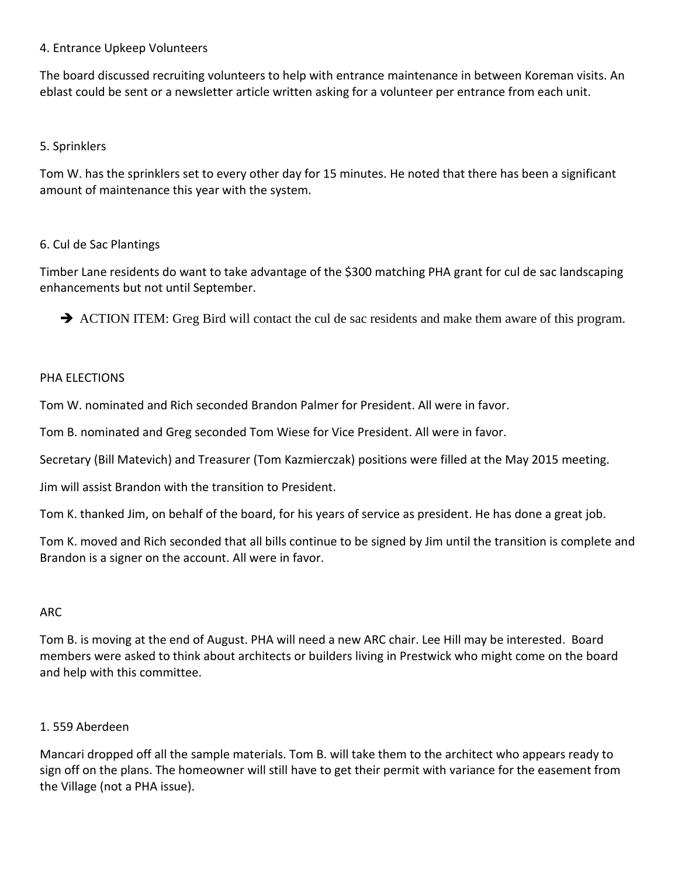# 4. Entrance Upkeep Volunteers

The board discussed recruiting volunteers to help with entrance maintenance in between Koreman visits. An eblast could be sent or a newsletter article written asking for a volunteer per entrance from each unit.

# 5. Sprinklers

Tom W. has the sprinklers set to every other day for 15 minutes. He noted that there has been a significant amount of maintenance this year with the system.

# 6. Cul de Sac Plantings

Timber Lane residents do want to take advantage of the \$300 matching PHA grant for cul de sac landscaping enhancements but not until September.

ACTION ITEM: Greg Bird will contact the cul de sac residents and make them aware of this program.

# PHA FLFCTIONS

Tom W. nominated and Rich seconded Brandon Palmer for President. All were in favor.

Tom B. nominated and Greg seconded Tom Wiese for Vice President. All were in favor.

Secretary (Bill Matevich) and Treasurer (Tom Kazmierczak) positions were filled at the May 2015 meeting.

Jim will assist Brandon with the transition to President.

Tom K. thanked Jim, on behalf of the board, for his years of service as president. He has done a great job.

Tom K. moved and Rich seconded that all bills continue to be signed by Jim until the transition is complete and Brandon is a signer on the account. All were in favor.

### ARC

Tom B. is moving at the end of August. PHA will need a new ARC chair. Lee Hill may be interested. Board members were asked to think about architects or builders living in Prestwick who might come on the board and help with this committee.

# 1. 559 Aberdeen

Mancari dropped off all the sample materials. Tom B. will take them to the architect who appears ready to sign off on the plans. The homeowner will still have to get their permit with variance for the easement from the Village (not a PHA issue).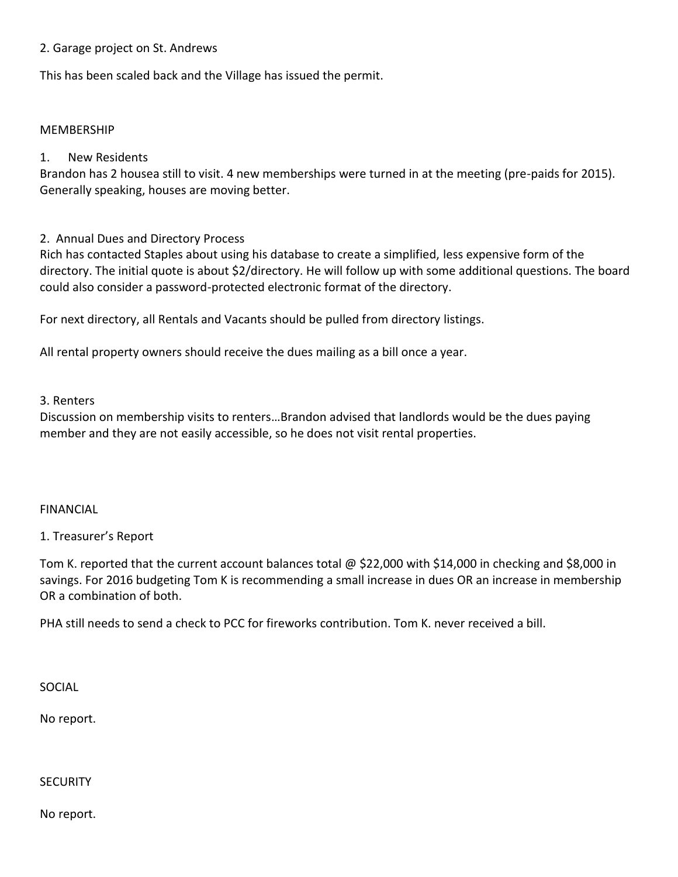## 2. Garage project on St. Andrews

This has been scaled back and the Village has issued the permit.

#### **MEMBERSHIP**

### 1. New Residents

Brandon has 2 housea still to visit. 4 new memberships were turned in at the meeting (pre-paids for 2015). Generally speaking, houses are moving better.

### 2. Annual Dues and Directory Process

Rich has contacted Staples about using his database to create a simplified, less expensive form of the directory. The initial quote is about \$2/directory. He will follow up with some additional questions. The board could also consider a password-protected electronic format of the directory.

For next directory, all Rentals and Vacants should be pulled from directory listings.

All rental property owners should receive the dues mailing as a bill once a year.

#### 3. Renters

Discussion on membership visits to renters…Brandon advised that landlords would be the dues paying member and they are not easily accessible, so he does not visit rental properties.

#### FINANCIAL

### 1. Treasurer's Report

Tom K. reported that the current account balances total @ \$22,000 with \$14,000 in checking and \$8,000 in savings. For 2016 budgeting Tom K is recommending a small increase in dues OR an increase in membership OR a combination of both.

PHA still needs to send a check to PCC for fireworks contribution. Tom K. never received a bill.

SOCIAL

No report.

#### **SECURITY**

No report.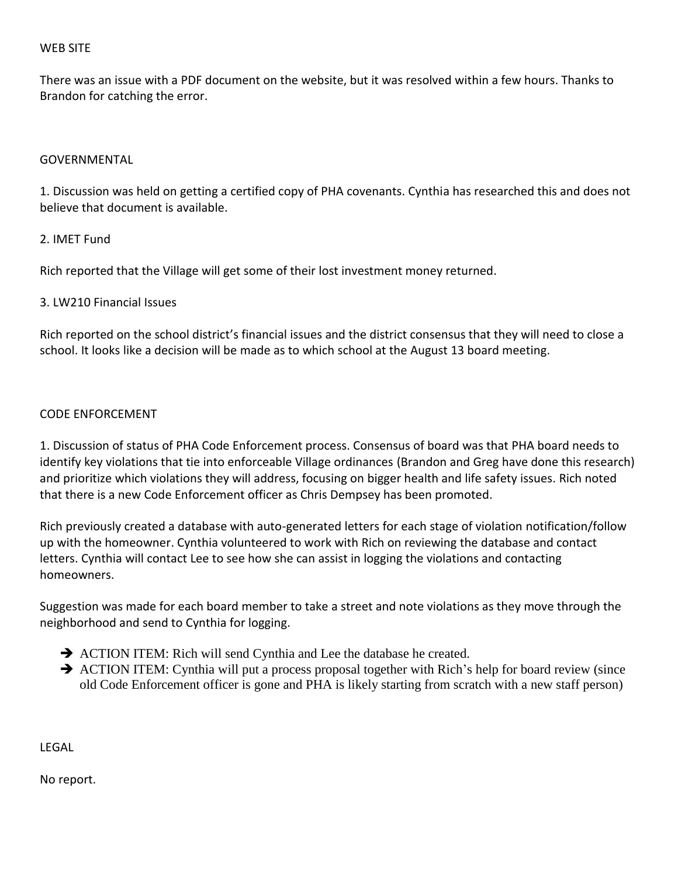### WEB SITE

There was an issue with a PDF document on the website, but it was resolved within a few hours. Thanks to Brandon for catching the error.

### GOVERNMENTAL

1. Discussion was held on getting a certified copy of PHA covenants. Cynthia has researched this and does not believe that document is available.

# 2. IMET Fund

Rich reported that the Village will get some of their lost investment money returned.

# 3. LW210 Financial Issues

Rich reported on the school district's financial issues and the district consensus that they will need to close a school. It looks like a decision will be made as to which school at the August 13 board meeting.

### CODE ENFORCEMENT

1. Discussion of status of PHA Code Enforcement process. Consensus of board was that PHA board needs to identify key violations that tie into enforceable Village ordinances (Brandon and Greg have done this research) and prioritize which violations they will address, focusing on bigger health and life safety issues. Rich noted that there is a new Code Enforcement officer as Chris Dempsey has been promoted.

Rich previously created a database with auto-generated letters for each stage of violation notification/follow up with the homeowner. Cynthia volunteered to work with Rich on reviewing the database and contact letters. Cynthia will contact Lee to see how she can assist in logging the violations and contacting homeowners.

Suggestion was made for each board member to take a street and note violations as they move through the neighborhood and send to Cynthia for logging.

- ACTION ITEM: Rich will send Cynthia and Lee the database he created.
- ACTION ITEM: Cynthia will put a process proposal together with Rich's help for board review (since old Code Enforcement officer is gone and PHA is likely starting from scratch with a new staff person)

LEGAL

No report.